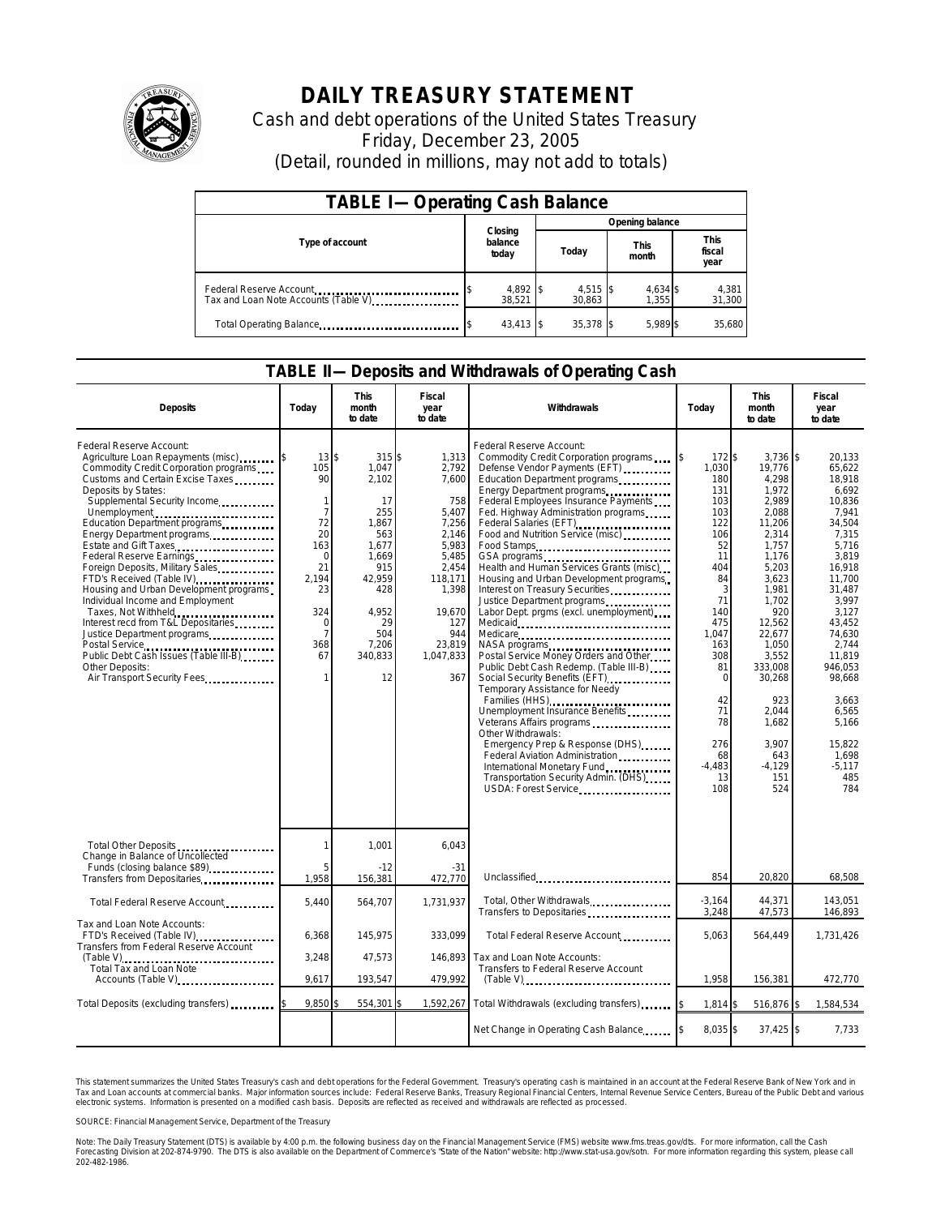

# **DAILY TREASURY STATEMENT**

Cash and debt operations of the United States Treasury Friday, December 23, 2005 (Detail, rounded in millions, may not add to totals)

| <b>TABLE I-Operating Cash Balance</b> |                             |                      |                      |                               |  |  |  |
|---------------------------------------|-----------------------------|----------------------|----------------------|-------------------------------|--|--|--|
|                                       |                             | Opening balance      |                      |                               |  |  |  |
| Type of account                       | Closing<br>balance<br>today | Today                | <b>This</b><br>month | <b>This</b><br>fiscal<br>year |  |  |  |
| Tax and Loan Note Accounts (Table V)  | 4,892 \$<br>38.521          | $4,515$ \$<br>30.863 | 4.634 \$<br>1.355    | 4,381<br>31,300               |  |  |  |
| Total Operating Balance               | $43.413$ \$                 | 35.378 \$            | 5.989 \$             | 35.680                        |  |  |  |

#### **TABLE II—Deposits and Withdrawals of Operating Cash**

| <b>Deposits</b>                                                                                                                                                                                                                                                                                                                                                                                                                                                                                                                                                                                                                                                         | Todav                                                                                                                                                     | This<br>month<br>to date                                                                                                                        | Fiscal<br>year<br>to date                                                                                                                                      | Withdrawals                                                                                                                                                                                                                                                                                                                                                                                                                                                                                                                                                                                                                                                                                                                                                                                                                                                                                                                                                                                                                                                                                                                                                                                                           | Today                                                                                                                                                                                                | <b>This</b><br>month<br>to date                                                                                                                                                                                                                                        | Fiscal<br>year<br>to date                                                                                                                                                                                                                                                       |
|-------------------------------------------------------------------------------------------------------------------------------------------------------------------------------------------------------------------------------------------------------------------------------------------------------------------------------------------------------------------------------------------------------------------------------------------------------------------------------------------------------------------------------------------------------------------------------------------------------------------------------------------------------------------------|-----------------------------------------------------------------------------------------------------------------------------------------------------------|-------------------------------------------------------------------------------------------------------------------------------------------------|----------------------------------------------------------------------------------------------------------------------------------------------------------------|-----------------------------------------------------------------------------------------------------------------------------------------------------------------------------------------------------------------------------------------------------------------------------------------------------------------------------------------------------------------------------------------------------------------------------------------------------------------------------------------------------------------------------------------------------------------------------------------------------------------------------------------------------------------------------------------------------------------------------------------------------------------------------------------------------------------------------------------------------------------------------------------------------------------------------------------------------------------------------------------------------------------------------------------------------------------------------------------------------------------------------------------------------------------------------------------------------------------------|------------------------------------------------------------------------------------------------------------------------------------------------------------------------------------------------------|------------------------------------------------------------------------------------------------------------------------------------------------------------------------------------------------------------------------------------------------------------------------|---------------------------------------------------------------------------------------------------------------------------------------------------------------------------------------------------------------------------------------------------------------------------------|
| Federal Reserve Account:<br>Agriculture Loan Repayments (misc)<br>Commodity Credit Corporation programs<br>Customs and Certain Excise Taxes<br>Deposits by States:<br>Supplemental Security Income<br>Unemployment<br>Education Department programs<br>Energy Department programs<br>Estate and Gift Taxes<br>Foreign Deposits, Military Sales<br>FTD's Received (Table IV)<br>Housing and Urban Development programs<br>Individual Income and Employment<br>Taxes, Not Withheld<br>Interest recd from T&L Depositaries<br>Justice Department programs<br>Postal Service<br>Public Debt Cash Issues (Table III-B)<br><br>Other Deposits:<br>Air Transport Security Fees | $13 \,$ \$<br>105<br>90<br>1<br>$\overline{7}$<br>72<br>20<br>163<br>$\Omega$<br>21<br>2.194<br>23<br>324<br>$\Omega$<br>$\overline{7}$<br>368<br>67<br>1 | 315 \$<br>1,047<br>2.102<br>17<br>255<br>1.867<br>563<br>1,677<br>1.669<br>915<br>42,959<br>428<br>4,952<br>29<br>504<br>7,206<br>340,833<br>12 | 1,313<br>2,792<br>7.600<br>758<br>5.407<br>7,256<br>2.146<br>5,983<br>5,485<br>2,454<br>118,171<br>1,398<br>19,670<br>127<br>944<br>23,819<br>1,047,833<br>367 | Federal Reserve Account:<br>Commodity Credit Corporation programs<br>Defense Vendor Payments (EFT)<br>Education Department programs<br>Energy Department programs<br>Federal Employees Insurance Payments<br>Fed. Highway Administration programs<br>Federal Salaries (EFT)<br>Food and Nutrition Service (misc)<br>Food Stamps<br>GSA programs<br>unique vertical contract contract contract contract contract contract contract contract contract contract contract contract contract contract contract contract contract contract contract contract contract con<br>Health and Human Services Grants (misc)<br>Housing and Urban Development programs.<br>Interest on Treasury Securities<br>Justice Department programs<br>Labor Dept. prgms (excl. unemployment)<br>Medicare<br>Postal Service Money Orders and Other<br>Public Debt Cash Redemp. (Table III-B)<br>Social Security Benefits (EFT)<br>Temporary Assistance for Needy<br>Families (HHS)<br>Unemployment Insurance Benefits<br>Veterans Affairs programs<br>Other Withdrawals:<br>Emergency Prep & Response (DHS)<br>Federal Aviation Administration<br>International Monetary Fund<br>Transportation Security Admin. (DHS)<br>USDA: Forest Service | 172\$<br>1,030<br>180<br>131<br>103<br>103<br>122<br>106<br>52<br>11<br>404<br>84<br>3<br>71<br>140<br>475<br>1,047<br>163<br>308<br>81<br>0<br>42<br>71<br>78<br>276<br>68<br>$-4.483$<br>13<br>108 | $3,736$ \$<br>19,776<br>4,298<br>1,972<br>2,989<br>2,088<br>11,206<br>2,314<br>1,757<br>1,176<br>5,203<br>3,623<br>1,981<br>1,702<br>920<br>12,562<br>22,677<br>1,050<br>3,552<br>333,008<br>30,268<br>923<br>2.044<br>1.682<br>3.907<br>643<br>$-4.129$<br>151<br>524 | 20.133<br>65.622<br>18.918<br>6,692<br>10,836<br>7.941<br>34.504<br>7.315<br>5,716<br>3,819<br>16.918<br>11.700<br>31,487<br>3,997<br>3.127<br>43.452<br>74,630<br>2.744<br>11.819<br>946.053<br>98,668<br>3.663<br>6.565<br>5.166<br>15.822<br>1.698<br>$-5.117$<br>485<br>784 |
| Total Other Deposits<br>Change in Balance of Uncollected<br>Funds (closing balance \$89)                                                                                                                                                                                                                                                                                                                                                                                                                                                                                                                                                                                | 1<br>5                                                                                                                                                    | 1,001<br>$-12$                                                                                                                                  | 6,043<br>$-31$                                                                                                                                                 |                                                                                                                                                                                                                                                                                                                                                                                                                                                                                                                                                                                                                                                                                                                                                                                                                                                                                                                                                                                                                                                                                                                                                                                                                       |                                                                                                                                                                                                      |                                                                                                                                                                                                                                                                        |                                                                                                                                                                                                                                                                                 |
| Transfers from Depositaries                                                                                                                                                                                                                                                                                                                                                                                                                                                                                                                                                                                                                                             | 1,958                                                                                                                                                     | 156,381                                                                                                                                         | 472,770                                                                                                                                                        | Unclassified                                                                                                                                                                                                                                                                                                                                                                                                                                                                                                                                                                                                                                                                                                                                                                                                                                                                                                                                                                                                                                                                                                                                                                                                          | 854                                                                                                                                                                                                  | 20,820                                                                                                                                                                                                                                                                 | 68,508                                                                                                                                                                                                                                                                          |
| Total Federal Reserve Account                                                                                                                                                                                                                                                                                                                                                                                                                                                                                                                                                                                                                                           | 5,440                                                                                                                                                     | 564,707                                                                                                                                         | 1.731.937                                                                                                                                                      | Total, Other Withdrawals<br>Transfers to Depositaries                                                                                                                                                                                                                                                                                                                                                                                                                                                                                                                                                                                                                                                                                                                                                                                                                                                                                                                                                                                                                                                                                                                                                                 | $-3,164$<br>3,248                                                                                                                                                                                    | 44,371<br>47,573                                                                                                                                                                                                                                                       | 143,051<br>146,893                                                                                                                                                                                                                                                              |
| Tax and Loan Note Accounts:<br>FTD's Received (Table IV)<br>Transfers from Federal Reserve Account                                                                                                                                                                                                                                                                                                                                                                                                                                                                                                                                                                      | 6,368                                                                                                                                                     | 145,975                                                                                                                                         | 333,099                                                                                                                                                        | Total Federal Reserve Account                                                                                                                                                                                                                                                                                                                                                                                                                                                                                                                                                                                                                                                                                                                                                                                                                                                                                                                                                                                                                                                                                                                                                                                         | 5,063                                                                                                                                                                                                | 564,449                                                                                                                                                                                                                                                                | 1,731,426                                                                                                                                                                                                                                                                       |
| Total Tax and Loan Note<br>Accounts (Table V)                                                                                                                                                                                                                                                                                                                                                                                                                                                                                                                                                                                                                           | 3.248<br>9,617                                                                                                                                            | 47.573<br>193,547                                                                                                                               | 146.893<br>479,992                                                                                                                                             | Tax and Loan Note Accounts:<br>Transfers to Federal Reserve Account                                                                                                                                                                                                                                                                                                                                                                                                                                                                                                                                                                                                                                                                                                                                                                                                                                                                                                                                                                                                                                                                                                                                                   | 1,958                                                                                                                                                                                                | 156,381                                                                                                                                                                                                                                                                | 472,770                                                                                                                                                                                                                                                                         |
|                                                                                                                                                                                                                                                                                                                                                                                                                                                                                                                                                                                                                                                                         |                                                                                                                                                           |                                                                                                                                                 |                                                                                                                                                                |                                                                                                                                                                                                                                                                                                                                                                                                                                                                                                                                                                                                                                                                                                                                                                                                                                                                                                                                                                                                                                                                                                                                                                                                                       |                                                                                                                                                                                                      |                                                                                                                                                                                                                                                                        |                                                                                                                                                                                                                                                                                 |
| Total Deposits (excluding transfers)                                                                                                                                                                                                                                                                                                                                                                                                                                                                                                                                                                                                                                    | 9.850                                                                                                                                                     | 554,301                                                                                                                                         |                                                                                                                                                                | 1,592,267 Total Withdrawals (excluding transfers)                                                                                                                                                                                                                                                                                                                                                                                                                                                                                                                                                                                                                                                                                                                                                                                                                                                                                                                                                                                                                                                                                                                                                                     | 1,814 \$                                                                                                                                                                                             | 516,876 \$                                                                                                                                                                                                                                                             | 1,584,534                                                                                                                                                                                                                                                                       |
|                                                                                                                                                                                                                                                                                                                                                                                                                                                                                                                                                                                                                                                                         |                                                                                                                                                           |                                                                                                                                                 |                                                                                                                                                                | Net Change in Operating Cash Balance                                                                                                                                                                                                                                                                                                                                                                                                                                                                                                                                                                                                                                                                                                                                                                                                                                                                                                                                                                                                                                                                                                                                                                                  | 8,035 \$                                                                                                                                                                                             | $37,425$ \$                                                                                                                                                                                                                                                            | 7,733                                                                                                                                                                                                                                                                           |

This statement summarizes the United States Treasury's cash and debt operations for the Federal Government.<br>Tax and Loan accounts at commercial banks. Major information sources include: Federal Reserve Banks, Trea<br>electr narizes the United States Treasury's cash and debt operations for the Federal Government. Treasury's operating cash is maintained in an account at the Federal Reserve Bank of New York and in<br>ints at commercial banks. Major

SOURCE: Financial Management Service, Department of the Treasury

Note: The Daily Treasury Statement (DTS) is available by 4:00 p.m. the following business day on the Financial Management Service (FMS) website www.fms.treas.gov/dts. For more information, call the Cash<br>Forecasting Divisio 202-482-1986.